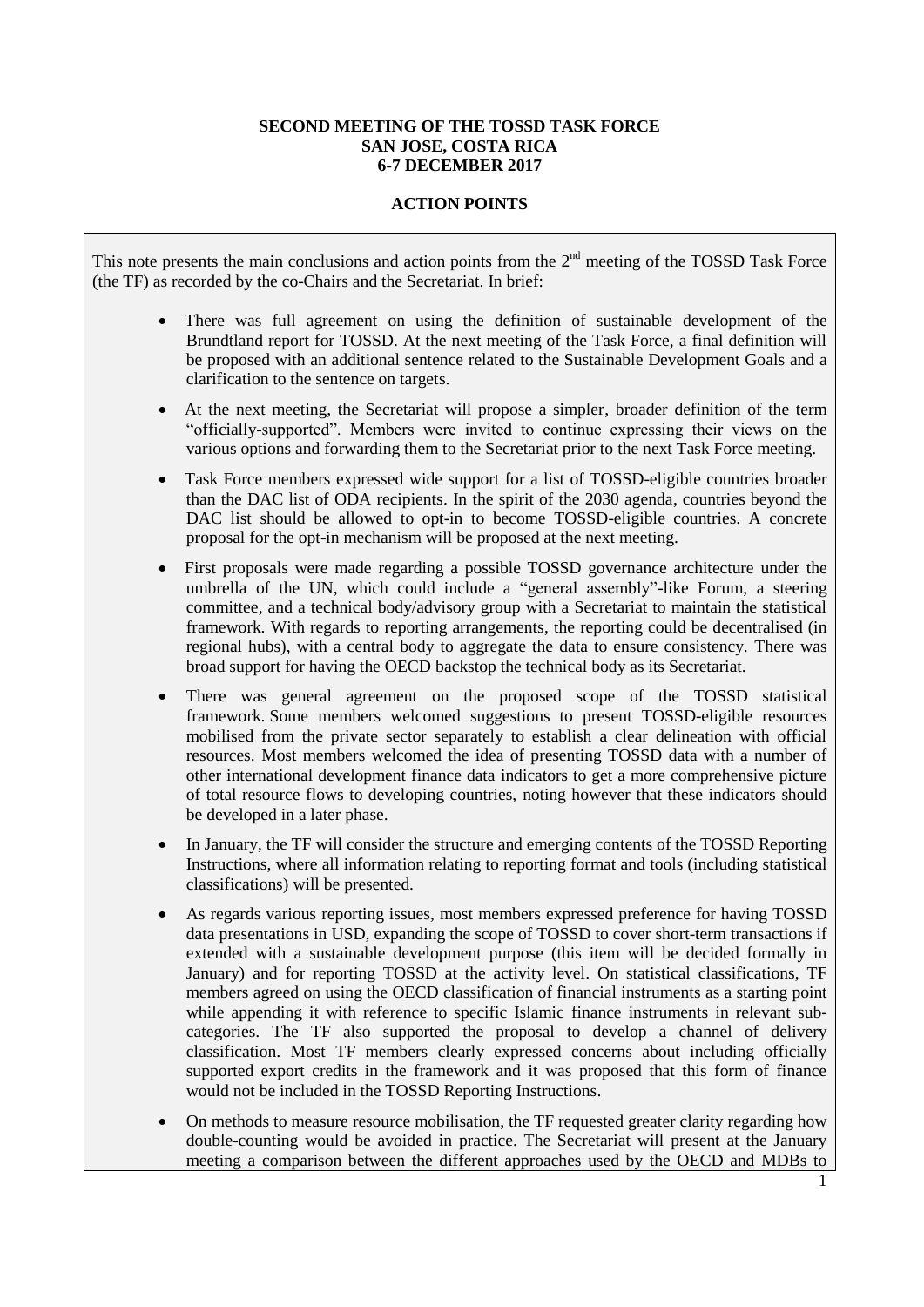## **SECOND MEETING OF THE TOSSD TASK FORCE SAN JOSE, COSTA RICA 6-7 DECEMBER 2017**

## **ACTION POINTS**

This note presents the main conclusions and action points from the  $2<sup>nd</sup>$  meeting of the TOSSD Task Force (the TF) as recorded by the co-Chairs and the Secretariat. In brief:

- There was full agreement on using the definition of sustainable development of the Brundtland report for TOSSD. At the next meeting of the Task Force, a final definition will be proposed with an additional sentence related to the Sustainable Development Goals and a clarification to the sentence on targets.
- At the next meeting, the Secretariat will propose a simpler, broader definition of the term "officially-supported". Members were invited to continue expressing their views on the various options and forwarding them to the Secretariat prior to the next Task Force meeting.
- Task Force members expressed wide support for a list of TOSSD-eligible countries broader than the DAC list of ODA recipients. In the spirit of the 2030 agenda, countries beyond the DAC list should be allowed to opt-in to become TOSSD-eligible countries. A concrete proposal for the opt-in mechanism will be proposed at the next meeting.
- First proposals were made regarding a possible TOSSD governance architecture under the umbrella of the UN, which could include a "general assembly"-like Forum, a steering committee, and a technical body/advisory group with a Secretariat to maintain the statistical framework. With regards to reporting arrangements, the reporting could be decentralised (in regional hubs), with a central body to aggregate the data to ensure consistency. There was broad support for having the OECD backstop the technical body as its Secretariat.
- There was general agreement on the proposed scope of the TOSSD statistical framework. Some members welcomed suggestions to present TOSSD-eligible resources mobilised from the private sector separately to establish a clear delineation with official resources. Most members welcomed the idea of presenting TOSSD data with a number of other international development finance data indicators to get a more comprehensive picture of total resource flows to developing countries, noting however that these indicators should be developed in a later phase.
- In January, the TF will consider the structure and emerging contents of the TOSSD Reporting Instructions, where all information relating to reporting format and tools (including statistical classifications) will be presented.
- As regards various reporting issues, most members expressed preference for having TOSSD data presentations in USD, expanding the scope of TOSSD to cover short-term transactions if extended with a sustainable development purpose (this item will be decided formally in January) and for reporting TOSSD at the activity level. On statistical classifications, TF members agreed on using the OECD classification of financial instruments as a starting point while appending it with reference to specific Islamic finance instruments in relevant subcategories. The TF also supported the proposal to develop a channel of delivery classification. Most TF members clearly expressed concerns about including officially supported export credits in the framework and it was proposed that this form of finance would not be included in the TOSSD Reporting Instructions.
- On methods to measure resource mobilisation, the TF requested greater clarity regarding how double-counting would be avoided in practice. The Secretariat will present at the January meeting a comparison between the different approaches used by the OECD and MDBs to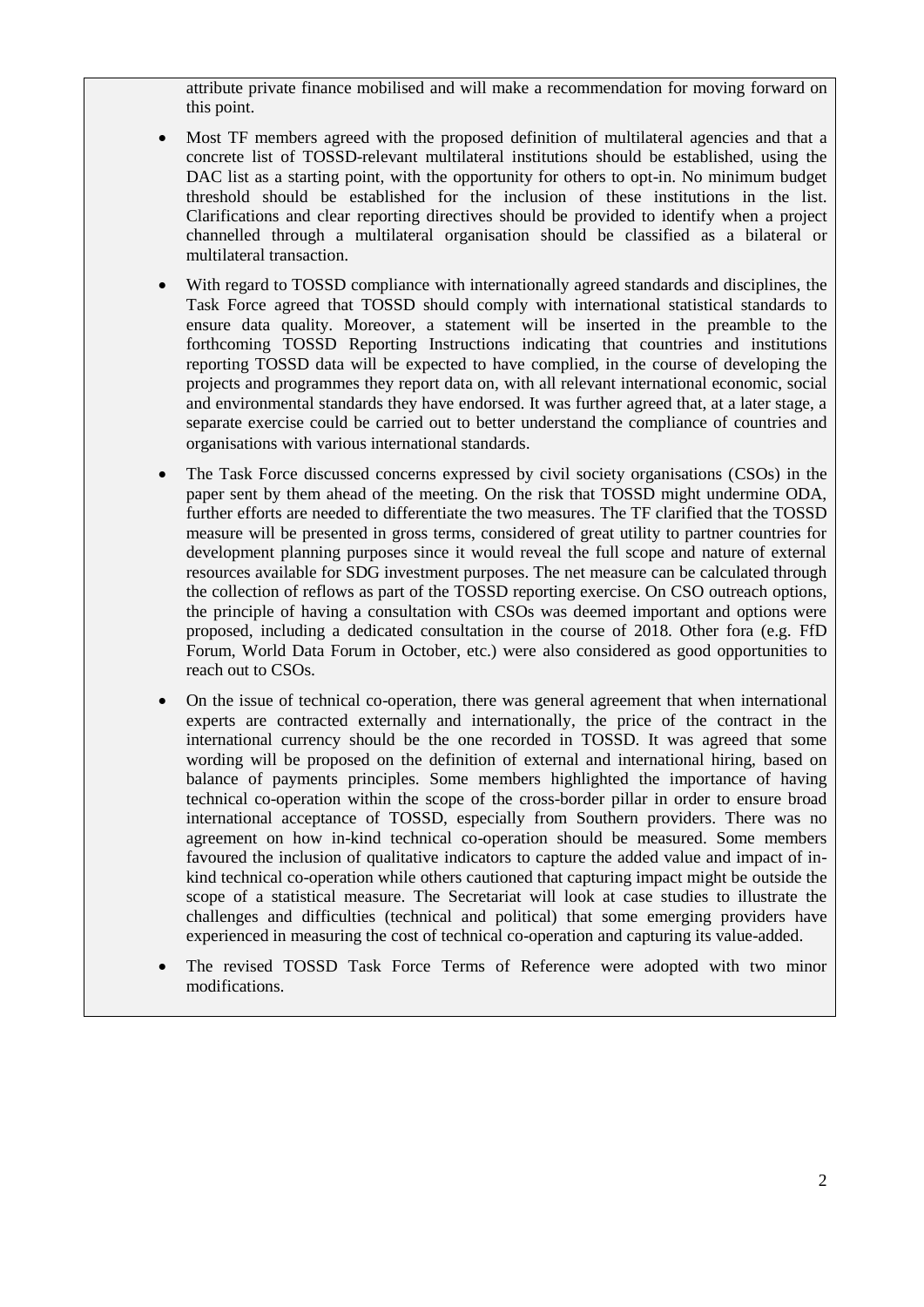attribute private finance mobilised and will make a recommendation for moving forward on this point.

- Most TF members agreed with the proposed definition of multilateral agencies and that a concrete list of TOSSD-relevant multilateral institutions should be established, using the DAC list as a starting point, with the opportunity for others to opt-in. No minimum budget threshold should be established for the inclusion of these institutions in the list. Clarifications and clear reporting directives should be provided to identify when a project channelled through a multilateral organisation should be classified as a bilateral or multilateral transaction.
- With regard to TOSSD compliance with internationally agreed standards and disciplines, the Task Force agreed that TOSSD should comply with international statistical standards to ensure data quality. Moreover, a statement will be inserted in the preamble to the forthcoming TOSSD Reporting Instructions indicating that countries and institutions reporting TOSSD data will be expected to have complied, in the course of developing the projects and programmes they report data on, with all relevant international economic, social and environmental standards they have endorsed. It was further agreed that, at a later stage, a separate exercise could be carried out to better understand the compliance of countries and organisations with various international standards.
- The Task Force discussed concerns expressed by civil society organisations (CSOs) in the paper sent by them ahead of the meeting. On the risk that TOSSD might undermine ODA, further efforts are needed to differentiate the two measures. The TF clarified that the TOSSD measure will be presented in gross terms, considered of great utility to partner countries for development planning purposes since it would reveal the full scope and nature of external resources available for SDG investment purposes. The net measure can be calculated through the collection of reflows as part of the TOSSD reporting exercise. On CSO outreach options, the principle of having a consultation with CSOs was deemed important and options were proposed, including a dedicated consultation in the course of 2018. Other fora (e.g. FfD Forum, World Data Forum in October, etc.) were also considered as good opportunities to reach out to CSOs.
- On the issue of technical co-operation, there was general agreement that when international experts are contracted externally and internationally, the price of the contract in the international currency should be the one recorded in TOSSD. It was agreed that some wording will be proposed on the definition of external and international hiring, based on balance of payments principles. Some members highlighted the importance of having technical co-operation within the scope of the cross-border pillar in order to ensure broad international acceptance of TOSSD, especially from Southern providers. There was no agreement on how in-kind technical co-operation should be measured. Some members favoured the inclusion of qualitative indicators to capture the added value and impact of inkind technical co-operation while others cautioned that capturing impact might be outside the scope of a statistical measure. The Secretariat will look at case studies to illustrate the challenges and difficulties (technical and political) that some emerging providers have experienced in measuring the cost of technical co-operation and capturing its value-added.
- The revised TOSSD Task Force Terms of Reference were adopted with two minor modifications.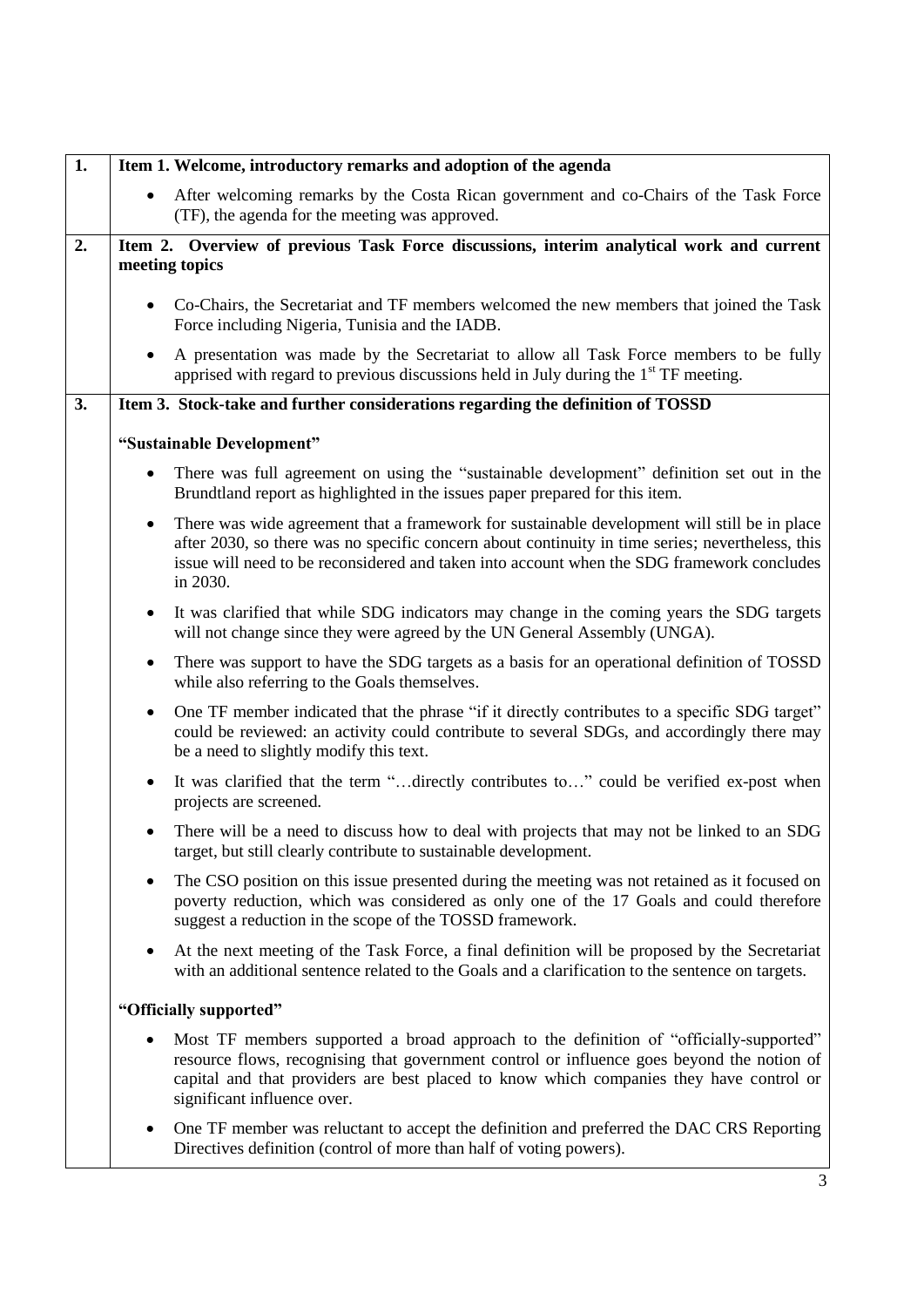| 1. | Item 1. Welcome, introductory remarks and adoption of the agenda                                                                                                                                                                                                                                                |
|----|-----------------------------------------------------------------------------------------------------------------------------------------------------------------------------------------------------------------------------------------------------------------------------------------------------------------|
|    | After welcoming remarks by the Costa Rican government and co-Chairs of the Task Force<br>(TF), the agenda for the meeting was approved.                                                                                                                                                                         |
| 2. | Item 2. Overview of previous Task Force discussions, interim analytical work and current<br>meeting topics                                                                                                                                                                                                      |
|    | Co-Chairs, the Secretariat and TF members welcomed the new members that joined the Task<br>Force including Nigeria, Tunisia and the IADB.                                                                                                                                                                       |
|    | A presentation was made by the Secretariat to allow all Task Force members to be fully<br>٠<br>apprised with regard to previous discussions held in July during the $1st TF$ meeting.                                                                                                                           |
| 3. | Item 3. Stock-take and further considerations regarding the definition of TOSSD                                                                                                                                                                                                                                 |
|    | "Sustainable Development"                                                                                                                                                                                                                                                                                       |
|    | There was full agreement on using the "sustainable development" definition set out in the<br>$\bullet$<br>Brundtland report as highlighted in the issues paper prepared for this item.                                                                                                                          |
|    | There was wide agreement that a framework for sustainable development will still be in place<br>٠<br>after 2030, so there was no specific concern about continuity in time series; nevertheless, this<br>issue will need to be reconsidered and taken into account when the SDG framework concludes<br>in 2030. |
|    | It was clarified that while SDG indicators may change in the coming years the SDG targets<br>$\bullet$<br>will not change since they were agreed by the UN General Assembly (UNGA).                                                                                                                             |
|    | There was support to have the SDG targets as a basis for an operational definition of TOSSD<br>٠<br>while also referring to the Goals themselves.                                                                                                                                                               |
|    | One TF member indicated that the phrase "if it directly contributes to a specific SDG target"<br>$\bullet$<br>could be reviewed: an activity could contribute to several SDGs, and accordingly there may<br>be a need to slightly modify this text.                                                             |
|    | It was clarified that the term "directly contributes to" could be verified ex-post when<br>projects are screened.                                                                                                                                                                                               |
|    | There will be a need to discuss how to deal with projects that may not be linked to an SDG<br>target, but still clearly contribute to sustainable development.                                                                                                                                                  |
|    | The CSO position on this issue presented during the meeting was not retained as it focused on<br>poverty reduction, which was considered as only one of the 17 Goals and could therefore<br>suggest a reduction in the scope of the TOSSD framework.                                                            |
|    | At the next meeting of the Task Force, a final definition will be proposed by the Secretariat<br>٠<br>with an additional sentence related to the Goals and a clarification to the sentence on targets.                                                                                                          |
|    | "Officially supported"                                                                                                                                                                                                                                                                                          |
|    | Most TF members supported a broad approach to the definition of "officially-supported"<br>resource flows, recognising that government control or influence goes beyond the notion of<br>capital and that providers are best placed to know which companies they have control or<br>significant influence over.  |
|    | One TF member was reluctant to accept the definition and preferred the DAC CRS Reporting<br>٠<br>Directives definition (control of more than half of voting powers).                                                                                                                                            |
|    |                                                                                                                                                                                                                                                                                                                 |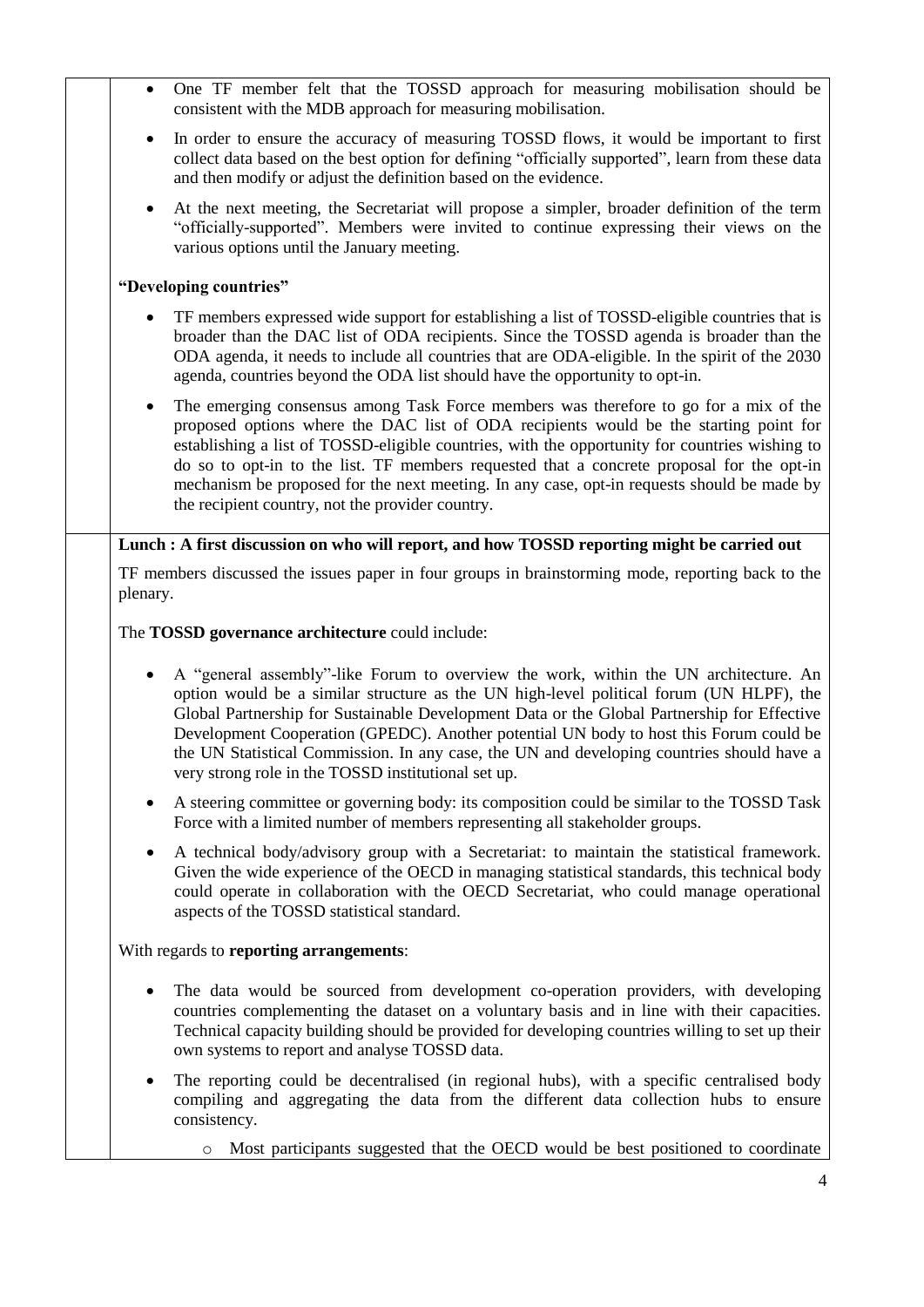| $\bullet$ | One TF member felt that the TOSSD approach for measuring mobilisation should be<br>consistent with the MDB approach for measuring mobilisation.                                                                                                                                                                                                                                                                                                                                                                                |
|-----------|--------------------------------------------------------------------------------------------------------------------------------------------------------------------------------------------------------------------------------------------------------------------------------------------------------------------------------------------------------------------------------------------------------------------------------------------------------------------------------------------------------------------------------|
| $\bullet$ | In order to ensure the accuracy of measuring TOSSD flows, it would be important to first<br>collect data based on the best option for defining "officially supported", learn from these data<br>and then modify or adjust the definition based on the evidence.                                                                                                                                                                                                                                                                |
| $\bullet$ | At the next meeting, the Secretariat will propose a simpler, broader definition of the term<br>"officially-supported". Members were invited to continue expressing their views on the<br>various options until the January meeting.                                                                                                                                                                                                                                                                                            |
|           | "Developing countries"                                                                                                                                                                                                                                                                                                                                                                                                                                                                                                         |
|           | TF members expressed wide support for establishing a list of TOSSD-eligible countries that is<br>broader than the DAC list of ODA recipients. Since the TOSSD agenda is broader than the<br>ODA agenda, it needs to include all countries that are ODA-eligible. In the spirit of the 2030<br>agenda, countries beyond the ODA list should have the opportunity to opt-in.                                                                                                                                                     |
| $\bullet$ | The emerging consensus among Task Force members was therefore to go for a mix of the<br>proposed options where the DAC list of ODA recipients would be the starting point for<br>establishing a list of TOSSD-eligible countries, with the opportunity for countries wishing to<br>do so to opt-in to the list. TF members requested that a concrete proposal for the opt-in<br>mechanism be proposed for the next meeting. In any case, opt-in requests should be made by<br>the recipient country, not the provider country. |
|           | Lunch : A first discussion on who will report, and how TOSSD reporting might be carried out                                                                                                                                                                                                                                                                                                                                                                                                                                    |
| plenary.  | TF members discussed the issues paper in four groups in brainstorming mode, reporting back to the                                                                                                                                                                                                                                                                                                                                                                                                                              |
|           | The TOSSD governance architecture could include:                                                                                                                                                                                                                                                                                                                                                                                                                                                                               |
|           | A "general assembly"-like Forum to overview the work, within the UN architecture. An<br>option would be a similar structure as the UN high-level political forum (UN HLPF), the<br>Global Partnership for Sustainable Development Data or the Global Partnership for Effective<br>Development Cooperation (GPEDC). Another potential UN body to host this Forum could be<br>the UN Statistical Commission. In any case, the UN and developing countries should have a<br>very strong role in the TOSSD institutional set up.   |
| $\bullet$ | A steering committee or governing body: its composition could be similar to the TOSSD Task<br>Force with a limited number of members representing all stakeholder groups.                                                                                                                                                                                                                                                                                                                                                      |
| $\bullet$ | A technical body/advisory group with a Secretariat: to maintain the statistical framework.<br>Given the wide experience of the OECD in managing statistical standards, this technical body<br>could operate in collaboration with the OECD Secretariat, who could manage operational<br>aspects of the TOSSD statistical standard.                                                                                                                                                                                             |
|           | With regards to reporting arrangements:                                                                                                                                                                                                                                                                                                                                                                                                                                                                                        |
| $\bullet$ | The data would be sourced from development co-operation providers, with developing<br>countries complementing the dataset on a voluntary basis and in line with their capacities.<br>Technical capacity building should be provided for developing countries willing to set up their<br>own systems to report and analyse TOSSD data.                                                                                                                                                                                          |
| $\bullet$ | The reporting could be decentralised (in regional hubs), with a specific centralised body<br>compiling and aggregating the data from the different data collection hubs to ensure<br>consistency.                                                                                                                                                                                                                                                                                                                              |
|           | Most participants suggested that the OECD would be best positioned to coordinate                                                                                                                                                                                                                                                                                                                                                                                                                                               |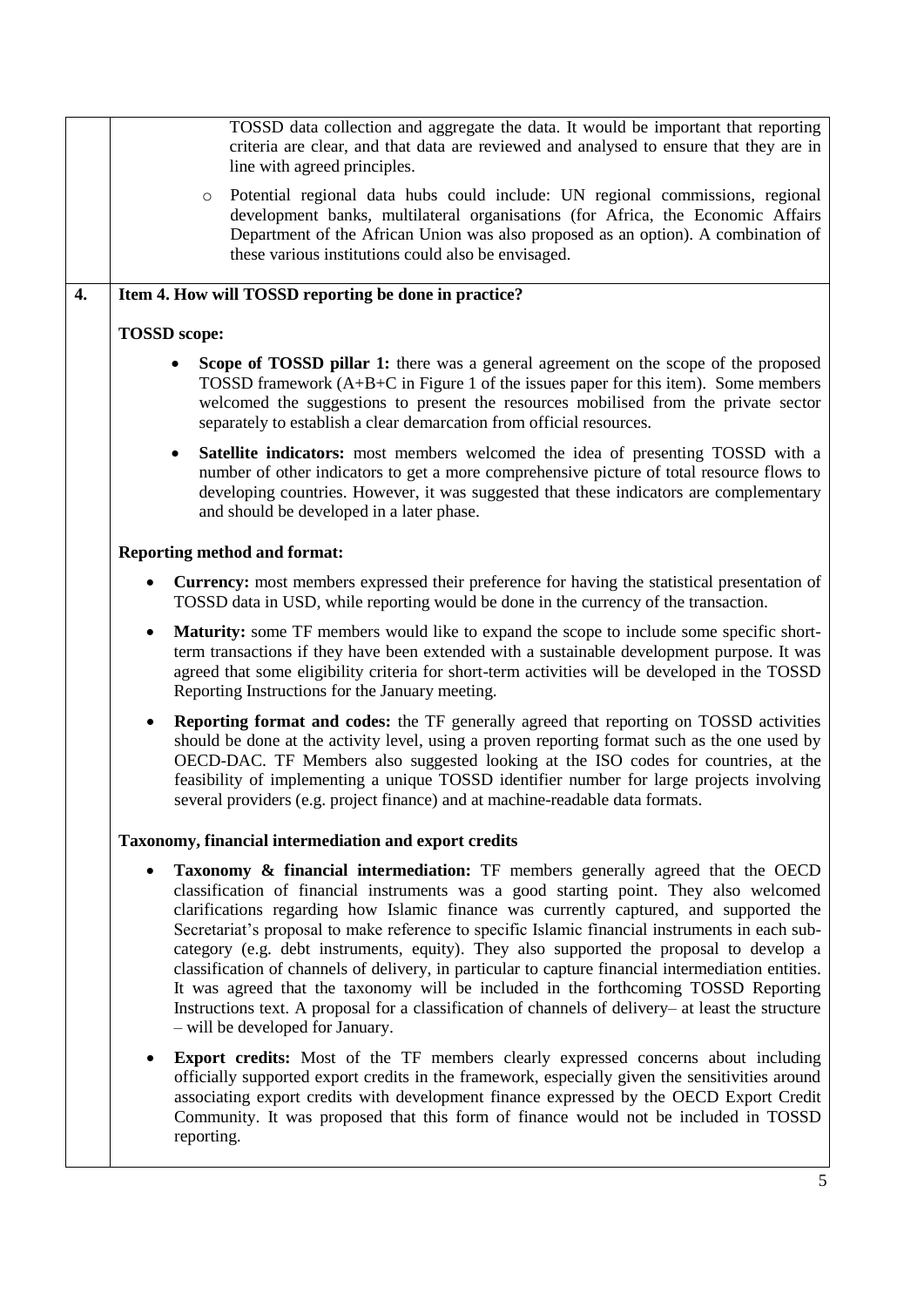|    | TOSSD data collection and aggregate the data. It would be important that reporting<br>criteria are clear, and that data are reviewed and analysed to ensure that they are in<br>line with agreed principles.                                                                                                                                                                                                                                                                                                                                                                                                                                                                                                                                                                                                            |
|----|-------------------------------------------------------------------------------------------------------------------------------------------------------------------------------------------------------------------------------------------------------------------------------------------------------------------------------------------------------------------------------------------------------------------------------------------------------------------------------------------------------------------------------------------------------------------------------------------------------------------------------------------------------------------------------------------------------------------------------------------------------------------------------------------------------------------------|
|    | Potential regional data hubs could include: UN regional commissions, regional<br>$\circ$<br>development banks, multilateral organisations (for Africa, the Economic Affairs<br>Department of the African Union was also proposed as an option). A combination of<br>these various institutions could also be envisaged.                                                                                                                                                                                                                                                                                                                                                                                                                                                                                                 |
| 4. | Item 4. How will TOSSD reporting be done in practice?                                                                                                                                                                                                                                                                                                                                                                                                                                                                                                                                                                                                                                                                                                                                                                   |
|    | <b>TOSSD</b> scope:                                                                                                                                                                                                                                                                                                                                                                                                                                                                                                                                                                                                                                                                                                                                                                                                     |
|    | Scope of TOSSD pillar 1: there was a general agreement on the scope of the proposed<br>TOSSD framework (A+B+C in Figure 1 of the issues paper for this item). Some members<br>welcomed the suggestions to present the resources mobilised from the private sector<br>separately to establish a clear demarcation from official resources.                                                                                                                                                                                                                                                                                                                                                                                                                                                                               |
|    | <b>Satellite indicators:</b> most members welcomed the idea of presenting TOSSD with a<br>$\bullet$<br>number of other indicators to get a more comprehensive picture of total resource flows to<br>developing countries. However, it was suggested that these indicators are complementary<br>and should be developed in a later phase.                                                                                                                                                                                                                                                                                                                                                                                                                                                                                |
|    | <b>Reporting method and format:</b>                                                                                                                                                                                                                                                                                                                                                                                                                                                                                                                                                                                                                                                                                                                                                                                     |
|    | <b>Currency:</b> most members expressed their preference for having the statistical presentation of<br>$\bullet$<br>TOSSD data in USD, while reporting would be done in the currency of the transaction.                                                                                                                                                                                                                                                                                                                                                                                                                                                                                                                                                                                                                |
|    | <b>Maturity:</b> some TF members would like to expand the scope to include some specific short-<br>$\bullet$<br>term transactions if they have been extended with a sustainable development purpose. It was<br>agreed that some eligibility criteria for short-term activities will be developed in the TOSSD<br>Reporting Instructions for the January meeting.                                                                                                                                                                                                                                                                                                                                                                                                                                                        |
|    | <b>Reporting format and codes:</b> the TF generally agreed that reporting on TOSSD activities<br>$\bullet$<br>should be done at the activity level, using a proven reporting format such as the one used by<br>OECD-DAC. TF Members also suggested looking at the ISO codes for countries, at the<br>feasibility of implementing a unique TOSSD identifier number for large projects involving<br>several providers (e.g. project finance) and at machine-readable data formats.                                                                                                                                                                                                                                                                                                                                        |
|    | Taxonomy, financial intermediation and export credits                                                                                                                                                                                                                                                                                                                                                                                                                                                                                                                                                                                                                                                                                                                                                                   |
|    | <b>Taxonomy &amp; financial intermediation:</b> TF members generally agreed that the OECD<br>٠<br>classification of financial instruments was a good starting point. They also welcomed<br>clarifications regarding how Islamic finance was currently captured, and supported the<br>Secretariat's proposal to make reference to specific Islamic financial instruments in each sub-<br>category (e.g. debt instruments, equity). They also supported the proposal to develop a<br>classification of channels of delivery, in particular to capture financial intermediation entities.<br>It was agreed that the taxonomy will be included in the forthcoming TOSSD Reporting<br>Instructions text. A proposal for a classification of channels of delivery- at least the structure<br>- will be developed for January. |
|    | <b>Export credits:</b> Most of the TF members clearly expressed concerns about including<br>$\bullet$<br>officially supported export credits in the framework, especially given the sensitivities around<br>associating export credits with development finance expressed by the OECD Export Credit<br>Community. It was proposed that this form of finance would not be included in TOSSD<br>reporting.                                                                                                                                                                                                                                                                                                                                                                                                                |
|    | 5                                                                                                                                                                                                                                                                                                                                                                                                                                                                                                                                                                                                                                                                                                                                                                                                                       |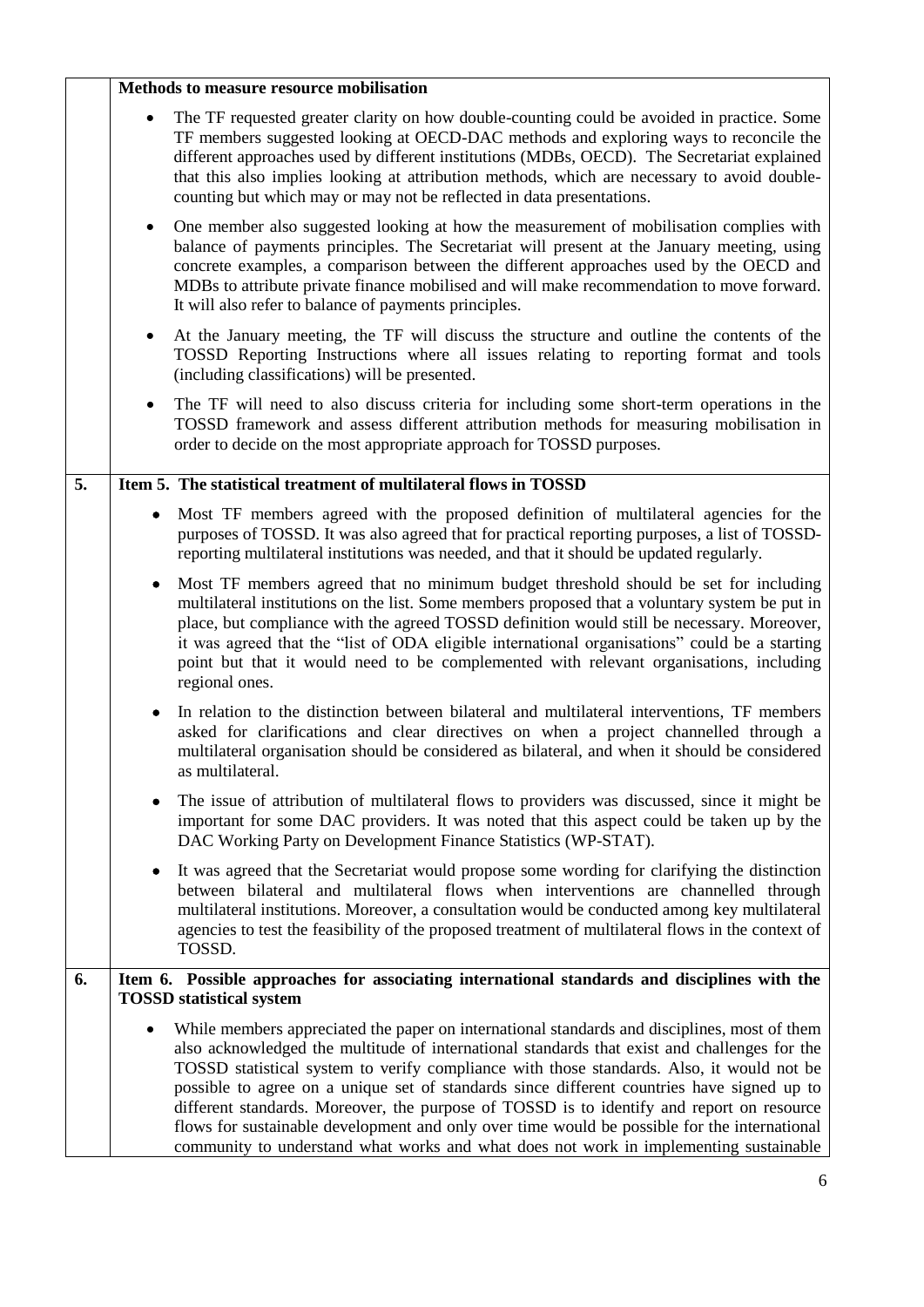|    | Methods to measure resource mobilisation                                                                                                                                                                                                                                                                                                                                                                                                                                                                                                                                                                                                                                                   |
|----|--------------------------------------------------------------------------------------------------------------------------------------------------------------------------------------------------------------------------------------------------------------------------------------------------------------------------------------------------------------------------------------------------------------------------------------------------------------------------------------------------------------------------------------------------------------------------------------------------------------------------------------------------------------------------------------------|
|    | The TF requested greater clarity on how double-counting could be avoided in practice. Some<br>$\bullet$<br>TF members suggested looking at OECD-DAC methods and exploring ways to reconcile the<br>different approaches used by different institutions (MDBs, OECD). The Secretariat explained<br>that this also implies looking at attribution methods, which are necessary to avoid double-<br>counting but which may or may not be reflected in data presentations.                                                                                                                                                                                                                     |
|    | One member also suggested looking at how the measurement of mobilisation complies with<br>٠<br>balance of payments principles. The Secretariat will present at the January meeting, using<br>concrete examples, a comparison between the different approaches used by the OECD and<br>MDBs to attribute private finance mobilised and will make recommendation to move forward.<br>It will also refer to balance of payments principles.                                                                                                                                                                                                                                                   |
|    | At the January meeting, the TF will discuss the structure and outline the contents of the<br>TOSSD Reporting Instructions where all issues relating to reporting format and tools<br>(including classifications) will be presented.                                                                                                                                                                                                                                                                                                                                                                                                                                                        |
|    | The TF will need to also discuss criteria for including some short-term operations in the<br>TOSSD framework and assess different attribution methods for measuring mobilisation in<br>order to decide on the most appropriate approach for TOSSD purposes.                                                                                                                                                                                                                                                                                                                                                                                                                                |
| 5. | Item 5. The statistical treatment of multilateral flows in TOSSD                                                                                                                                                                                                                                                                                                                                                                                                                                                                                                                                                                                                                           |
|    | Most TF members agreed with the proposed definition of multilateral agencies for the<br>purposes of TOSSD. It was also agreed that for practical reporting purposes, a list of TOSSD-<br>reporting multilateral institutions was needed, and that it should be updated regularly.                                                                                                                                                                                                                                                                                                                                                                                                          |
|    | Most TF members agreed that no minimum budget threshold should be set for including<br>٠<br>multilateral institutions on the list. Some members proposed that a voluntary system be put in<br>place, but compliance with the agreed TOSSD definition would still be necessary. Moreover,<br>it was agreed that the "list of ODA eligible international organisations" could be a starting<br>point but that it would need to be complemented with relevant organisations, including<br>regional ones.                                                                                                                                                                                      |
|    | In relation to the distinction between bilateral and multilateral interventions, TF members<br>asked for clarifications and clear directives on when a project channelled through a<br>multilateral organisation should be considered as bilateral, and when it should be considered<br>as multilateral.                                                                                                                                                                                                                                                                                                                                                                                   |
|    | The issue of attribution of multilateral flows to providers was discussed, since it might be<br>important for some DAC providers. It was noted that this aspect could be taken up by the<br>DAC Working Party on Development Finance Statistics (WP-STAT).                                                                                                                                                                                                                                                                                                                                                                                                                                 |
|    | It was agreed that the Secretariat would propose some wording for clarifying the distinction<br>between bilateral and multilateral flows when interventions are channelled through<br>multilateral institutions. Moreover, a consultation would be conducted among key multilateral<br>agencies to test the feasibility of the proposed treatment of multilateral flows in the context of<br>TOSSD.                                                                                                                                                                                                                                                                                        |
| 6. | Item 6. Possible approaches for associating international standards and disciplines with the<br><b>TOSSD</b> statistical system                                                                                                                                                                                                                                                                                                                                                                                                                                                                                                                                                            |
|    | While members appreciated the paper on international standards and disciplines, most of them<br>$\bullet$<br>also acknowledged the multitude of international standards that exist and challenges for the<br>TOSSD statistical system to verify compliance with those standards. Also, it would not be<br>possible to agree on a unique set of standards since different countries have signed up to<br>different standards. Moreover, the purpose of TOSSD is to identify and report on resource<br>flows for sustainable development and only over time would be possible for the international<br>community to understand what works and what does not work in implementing sustainable |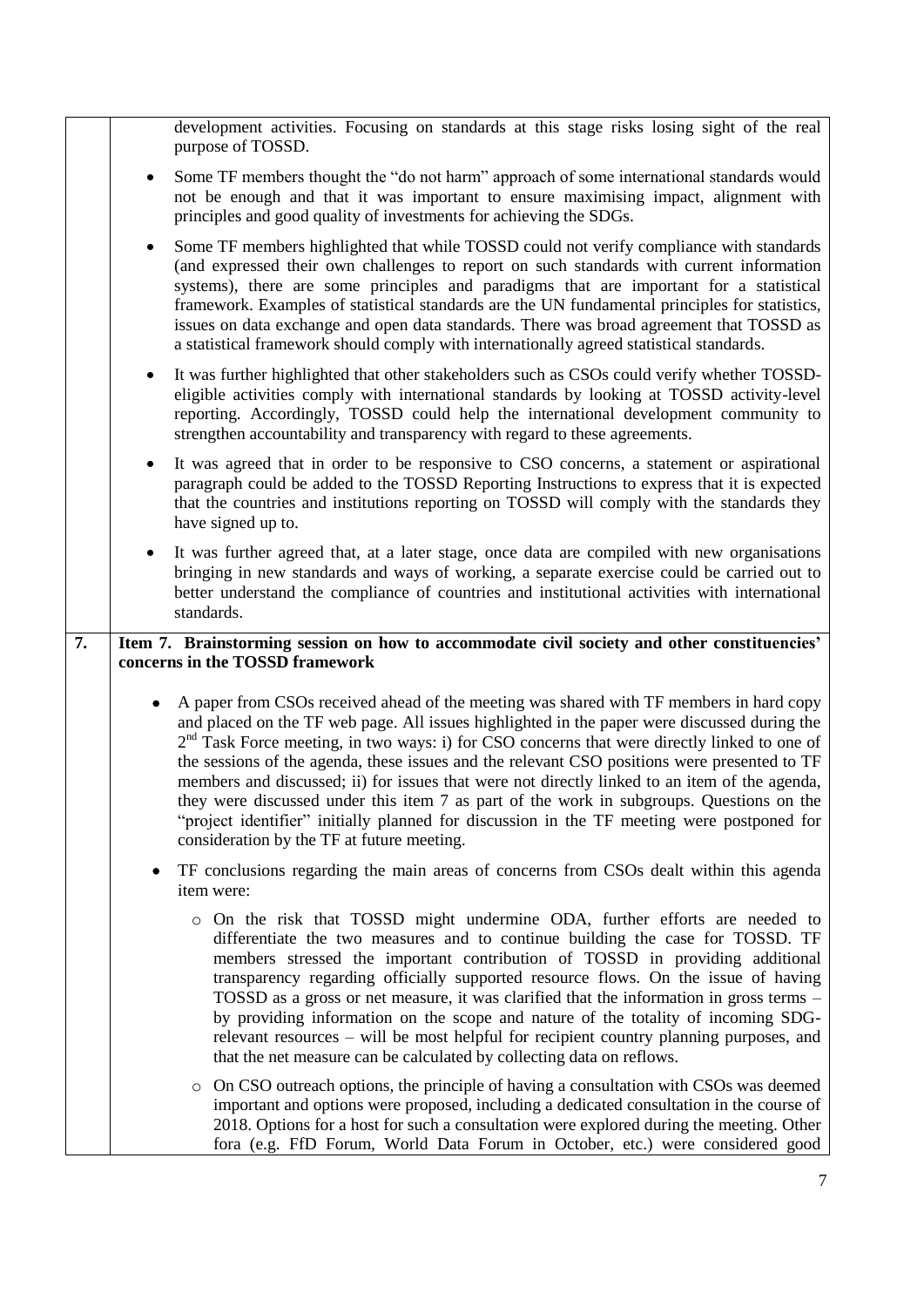|    |           | development activities. Focusing on standards at this stage risks losing sight of the real<br>purpose of TOSSD.                                                                                                                                                                                                                                                                                                                                                                                                                                                                                                                                                                                                                    |
|----|-----------|------------------------------------------------------------------------------------------------------------------------------------------------------------------------------------------------------------------------------------------------------------------------------------------------------------------------------------------------------------------------------------------------------------------------------------------------------------------------------------------------------------------------------------------------------------------------------------------------------------------------------------------------------------------------------------------------------------------------------------|
|    |           | Some TF members thought the "do not harm" approach of some international standards would<br>not be enough and that it was important to ensure maximising impact, alignment with<br>principles and good quality of investments for achieving the SDGs.                                                                                                                                                                                                                                                                                                                                                                                                                                                                              |
|    | $\bullet$ | Some TF members highlighted that while TOSSD could not verify compliance with standards<br>(and expressed their own challenges to report on such standards with current information<br>systems), there are some principles and paradigms that are important for a statistical<br>framework. Examples of statistical standards are the UN fundamental principles for statistics,<br>issues on data exchange and open data standards. There was broad agreement that TOSSD as<br>a statistical framework should comply with internationally agreed statistical standards.                                                                                                                                                            |
|    | $\bullet$ | It was further highlighted that other stakeholders such as CSOs could verify whether TOSSD-<br>eligible activities comply with international standards by looking at TOSSD activity-level<br>reporting. Accordingly, TOSSD could help the international development community to<br>strengthen accountability and transparency with regard to these agreements.                                                                                                                                                                                                                                                                                                                                                                    |
|    |           | It was agreed that in order to be responsive to CSO concerns, a statement or aspirational<br>paragraph could be added to the TOSSD Reporting Instructions to express that it is expected<br>that the countries and institutions reporting on TOSSD will comply with the standards they<br>have signed up to.                                                                                                                                                                                                                                                                                                                                                                                                                       |
|    |           | It was further agreed that, at a later stage, once data are compiled with new organisations<br>bringing in new standards and ways of working, a separate exercise could be carried out to<br>better understand the compliance of countries and institutional activities with international<br>standards.                                                                                                                                                                                                                                                                                                                                                                                                                           |
|    |           |                                                                                                                                                                                                                                                                                                                                                                                                                                                                                                                                                                                                                                                                                                                                    |
| 7. |           | Item 7. Brainstorming session on how to accommodate civil society and other constituencies'<br>concerns in the TOSSD framework                                                                                                                                                                                                                                                                                                                                                                                                                                                                                                                                                                                                     |
|    | $\bullet$ | A paper from CSOs received ahead of the meeting was shared with TF members in hard copy<br>and placed on the TF web page. All issues highlighted in the paper were discussed during the<br>$2nd$ Task Force meeting, in two ways: i) for CSO concerns that were directly linked to one of<br>the sessions of the agenda, these issues and the relevant CSO positions were presented to TF<br>members and discussed; ii) for issues that were not directly linked to an item of the agenda,<br>they were discussed under this item 7 as part of the work in subgroups. Questions on the<br>"project identifier" initially planned for discussion in the TF meeting were postponed for<br>consideration by the TF at future meeting. |
|    | ٠         | TF conclusions regarding the main areas of concerns from CSOs dealt within this agenda<br>item were:                                                                                                                                                                                                                                                                                                                                                                                                                                                                                                                                                                                                                               |
|    |           | o On the risk that TOSSD might undermine ODA, further efforts are needed to<br>differentiate the two measures and to continue building the case for TOSSD. TF<br>members stressed the important contribution of TOSSD in providing additional<br>transparency regarding officially supported resource flows. On the issue of having<br>TOSSD as a gross or net measure, it was clarified that the information in gross terms –<br>by providing information on the scope and nature of the totality of incoming SDG-<br>relevant resources – will be most helpful for recipient country planning purposes, and<br>that the net measure can be calculated by collecting data on reflows.                                             |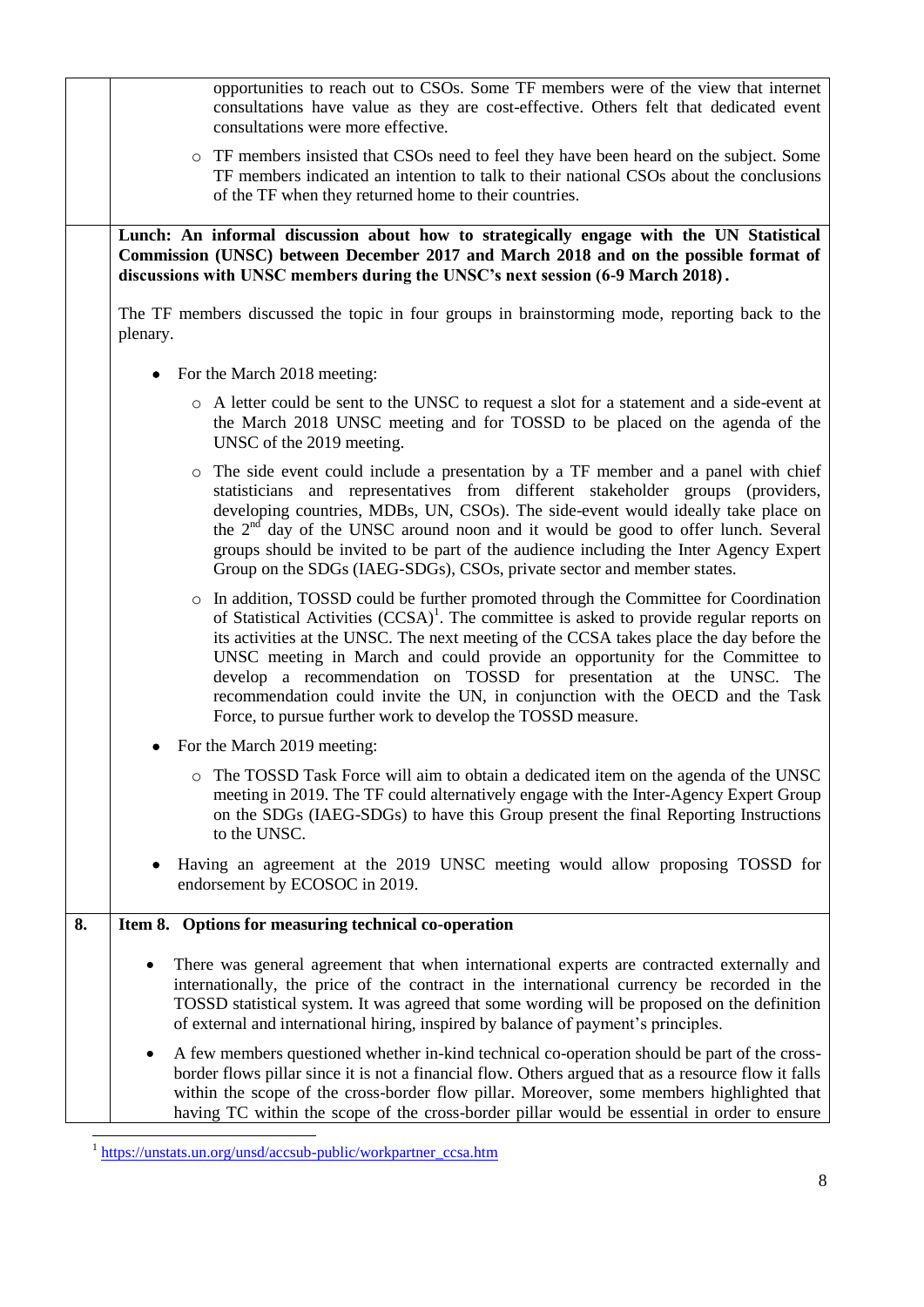|    | opportunities to reach out to CSOs. Some TF members were of the view that internet<br>consultations have value as they are cost-effective. Others felt that dedicated event<br>consultations were more effective.                                                                                                                                                                                                                                                                                                                                                                                |
|----|--------------------------------------------------------------------------------------------------------------------------------------------------------------------------------------------------------------------------------------------------------------------------------------------------------------------------------------------------------------------------------------------------------------------------------------------------------------------------------------------------------------------------------------------------------------------------------------------------|
|    | • TF members insisted that CSOs need to feel they have been heard on the subject. Some<br>TF members indicated an intention to talk to their national CSOs about the conclusions<br>of the TF when they returned home to their countries.                                                                                                                                                                                                                                                                                                                                                        |
|    | Lunch: An informal discussion about how to strategically engage with the UN Statistical<br>Commission (UNSC) between December 2017 and March 2018 and on the possible format of<br>discussions with UNSC members during the UNSC's next session (6-9 March 2018).                                                                                                                                                                                                                                                                                                                                |
|    | The TF members discussed the topic in four groups in brainstorming mode, reporting back to the<br>plenary.                                                                                                                                                                                                                                                                                                                                                                                                                                                                                       |
|    | For the March 2018 meeting:                                                                                                                                                                                                                                                                                                                                                                                                                                                                                                                                                                      |
|    | • A letter could be sent to the UNSC to request a slot for a statement and a side-event at<br>the March 2018 UNSC meeting and for TOSSD to be placed on the agenda of the<br>UNSC of the 2019 meeting.                                                                                                                                                                                                                                                                                                                                                                                           |
|    | The side event could include a presentation by a TF member and a panel with chief<br>$\circ$<br>statisticians and representatives from different stakeholder groups (providers,<br>developing countries, MDBs, UN, CSOs). The side-event would ideally take place on<br>the $2nd$ day of the UNSC around noon and it would be good to offer lunch. Several<br>groups should be invited to be part of the audience including the Inter Agency Expert<br>Group on the SDGs (IAEG-SDGs), CSOs, private sector and member states.                                                                    |
|    | In addition, TOSSD could be further promoted through the Committee for Coordination<br>$\circ$<br>of Statistical Activities $(CCSA)^{1}$ . The committee is asked to provide regular reports on<br>its activities at the UNSC. The next meeting of the CCSA takes place the day before the<br>UNSC meeting in March and could provide an opportunity for the Committee to<br>develop a recommendation on TOSSD for presentation at the UNSC. The<br>recommendation could invite the UN, in conjunction with the OECD and the Task<br>Force, to pursue further work to develop the TOSSD measure. |
|    | For the March 2019 meeting:                                                                                                                                                                                                                                                                                                                                                                                                                                                                                                                                                                      |
|    | The TOSSD Task Force will aim to obtain a dedicated item on the agenda of the UNSC<br>meeting in 2019. The TF could alternatively engage with the Inter-Agency Expert Group<br>on the SDGs (IAEG-SDGs) to have this Group present the final Reporting Instructions<br>to the UNSC.                                                                                                                                                                                                                                                                                                               |
|    | Having an agreement at the 2019 UNSC meeting would allow proposing TOSSD for<br>endorsement by ECOSOC in 2019.                                                                                                                                                                                                                                                                                                                                                                                                                                                                                   |
| 8. | Item 8. Options for measuring technical co-operation                                                                                                                                                                                                                                                                                                                                                                                                                                                                                                                                             |
|    | There was general agreement that when international experts are contracted externally and<br>internationally, the price of the contract in the international currency be recorded in the<br>TOSSD statistical system. It was agreed that some wording will be proposed on the definition<br>of external and international hiring, inspired by balance of payment's principles.                                                                                                                                                                                                                   |
|    | A few members questioned whether in-kind technical co-operation should be part of the cross-<br>border flows pillar since it is not a financial flow. Others argued that as a resource flow it falls<br>within the scope of the cross-border flow pillar. Moreover, some members highlighted that<br>having TC within the scope of the cross-border pillar would be essential in order to ensure                                                                                                                                                                                                 |

<sup>1</sup> [https://unstats.un.org/unsd/accsub-public/workpartner\\_ccsa.htm](https://unstats.un.org/unsd/accsub-public/workpartner_ccsa.htm)